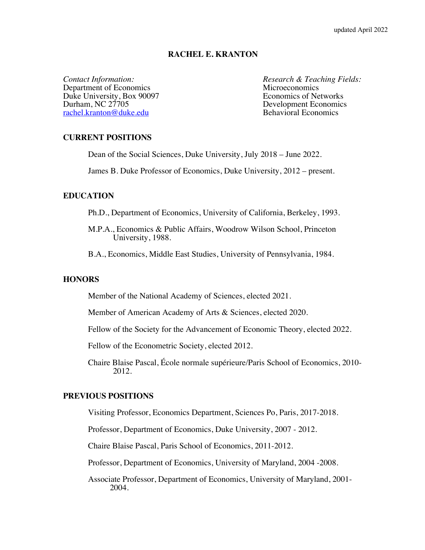# **RACHEL E. KRANTON**

Department of Economics<br>
Duke University, Box 90097<br>
Economics of Networks Duke University, Box 90097<br>Durham, NC 27705 rachel.kranton@duke.edu

*Contact Information: Research & Teaching Fields:* Development Economics<br>Rehavioral Economics

## **CURRENT POSITIONS**

Dean of the Social Sciences, Duke University, July 2018 – June 2022.

James B. Duke Professor of Economics, Duke University, 2012 – present.

## **EDUCATION**

Ph.D., Department of Economics, University of California, Berkeley, 1993.

M.P.A., Economics & Public Affairs, Woodrow Wilson School, Princeton University, 1988.

B.A., Economics, Middle East Studies, University of Pennsylvania, 1984.

## **HONORS**

Member of the National Academy of Sciences, elected 2021.

Member of American Academy of Arts & Sciences, elected 2020.

Fellow of the Society for the Advancement of Economic Theory, elected 2022.

Fellow of the Econometric Society, elected 2012.

Chaire Blaise Pascal, École normale supérieure/Paris School of Economics, 2010- 2012.

## **PREVIOUS POSITIONS**

Visiting Professor, Economics Department, Sciences Po, Paris, 2017-2018.

Professor, Department of Economics, Duke University, 2007 - 2012.

Chaire Blaise Pascal, Paris School of Economics, 2011-2012.

Professor, Department of Economics, University of Maryland, 2004 -2008.

Associate Professor, Department of Economics, University of Maryland, 2001- 2004.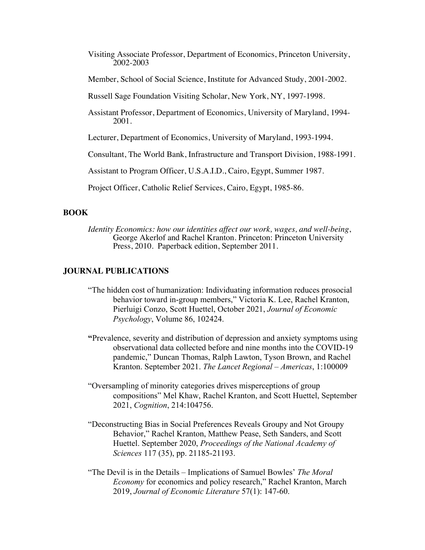- Visiting Associate Professor, Department of Economics, Princeton University, 2002-2003
- Member, School of Social Science, Institute for Advanced Study, 2001-2002.

Russell Sage Foundation Visiting Scholar, New York, NY, 1997-1998.

Assistant Professor, Department of Economics, University of Maryland, 1994- 2001.

Lecturer, Department of Economics, University of Maryland, 1993-1994.

Consultant, The World Bank, Infrastructure and Transport Division, 1988-1991.

Assistant to Program Officer, U.S.A.I.D., Cairo, Egypt, Summer 1987.

Project Officer, Catholic Relief Services, Cairo, Egypt, 1985-86.

### **BOOK**

*Identity Economics: how our identities affect our work, wages, and well-being*, George Akerlof and Rachel Kranton. Princeton: Princeton University Press, 2010. Paperback edition, September 2011.

## **JOURNAL PUBLICATIONS**

- "The hidden cost of humanization: Individuating information reduces prosocial behavior toward in-group members," Victoria K. Lee, Rachel Kranton, Pierluigi Conzo, Scott Huettel, October 2021, *Journal of Economic Psychology*, Volume 86, 102424.
- **"**Prevalence, severity and distribution of depression and anxiety symptoms using observational data collected before and nine months into the COVID-19 pandemic," Duncan Thomas, Ralph Lawton, Tyson Brown, and Rachel Kranton. September 2021. *The Lancet Regional – Americas*, 1:100009
- "Oversampling of minority categories drives misperceptions of group compositions" Mel Khaw, Rachel Kranton, and Scott Huettel, September 2021, *Cognition*, 214:104756.
- "Deconstructing Bias in Social Preferences Reveals Groupy and Not Groupy Behavior," Rachel Kranton, Matthew Pease, Seth Sanders, and Scott Huettel. September 2020, *Proceedings of the National Academy of Sciences* 117 (35), pp. 21185-21193.
- "The Devil is in the Details Implications of Samuel Bowles' *The Moral Economy* for economics and policy research," Rachel Kranton, March 2019, *Journal of Economic Literature* 57(1): 147-60.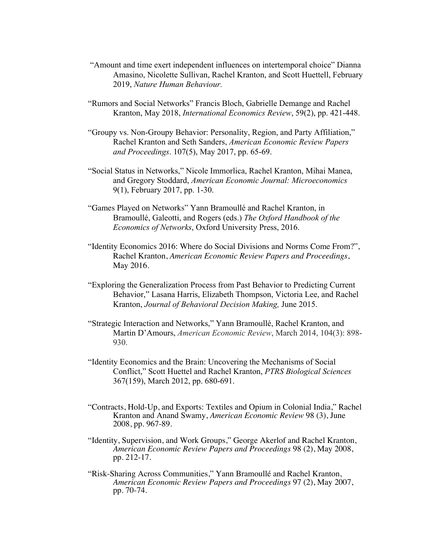- "Amount and time exert independent influences on intertemporal choice" Dianna Amasino, Nicolette Sullivan, Rachel Kranton, and Scott Huettell, February 2019, *Nature Human Behaviour.*
- "Rumors and Social Networks" Francis Bloch, Gabrielle Demange and Rachel Kranton, May 2018, *International Economics Review*, 59(2), pp. 421-448.
- "Groupy vs. Non-Groupy Behavior: Personality, Region, and Party Affiliation," Rachel Kranton and Seth Sanders, *American Economic Review Papers and Proceedings*. 107(5), May 2017, pp. 65-69.
- "Social Status in Networks," Nicole Immorlica, Rachel Kranton, Mihai Manea, and Gregory Stoddard, *American Economic Journal: Microeconomics* 9(1), February 2017, pp. 1-30.
- "Games Played on Networks" Yann Bramoullé and Rachel Kranton, in Bramoullé, Galeotti, and Rogers (eds.) *The Oxford Handbook of the Economics of Networks*, Oxford University Press, 2016.
- "Identity Economics 2016: Where do Social Divisions and Norms Come From?", Rachel Kranton, *American Economic Review Papers and Proceedings*, May 2016.
- "Exploring the Generalization Process from Past Behavior to Predicting Current Behavior," Lasana Harris, Elizabeth Thompson, Victoria Lee, and Rachel Kranton, *Journal of Behavioral Decision Making,* June 2015.
- "Strategic Interaction and Networks," Yann Bramoullé, Rachel Kranton, and Martin D'Amours, *American Economic Review*, March 2014, 104(3): 898- 930.
- "Identity Economics and the Brain: Uncovering the Mechanisms of Social Conflict," Scott Huettel and Rachel Kranton, *PTRS Biological Sciences* 367(159), March 2012, pp. 680-691.
- "Contracts, Hold-Up, and Exports: Textiles and Opium in Colonial India," Rachel Kranton and Anand Swamy, *American Economic Review* 98 (3), June 2008, pp. 967-89.
- "Identity, Supervision, and Work Groups," George Akerlof and Rachel Kranton, *American Economic Review Papers and Proceedings* 98 (2), May 2008, pp. 212-17.
- "Risk-Sharing Across Communities," Yann Bramoullé and Rachel Kranton, *American Economic Review Papers and Proceedings* 97 (2), May 2007, pp. 70-74.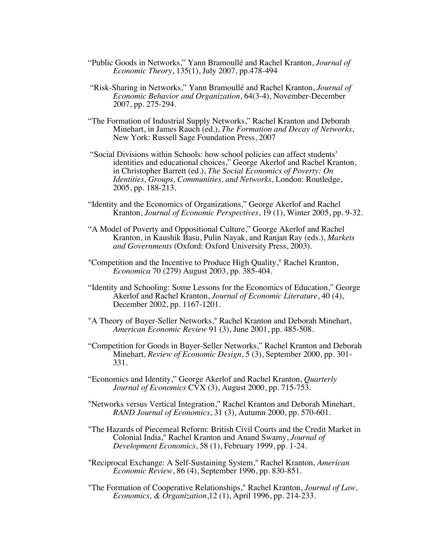- "Public Goods in Networks," Yann Bramoullé and Rachel Kranton, *Journal of Economic Theory*, 135(1), July 2007, pp.478-494
- "Risk-Sharing in Networks," Yann Bramoullé and Rachel Kranton, *Journal of Economic Behavior and Organization*, 64(3-4), November-December 2007, pp. 275-294.
- "The Formation of Industrial Supply Networks," Rachel Kranton and Deborah Minehart, in James Rauch (ed.), *The Formation and Decay of Networks*, New York: Russell Sage Foundation Press, 2007
- "Social Divisions within Schools: how school policies can affect students' identities and educational choices," George Akerlof and Rachel Kranton, in Christopher Barrett (ed.), *The Social Economics of Poverty: On Identities, Groups, Communities, and Networks*, London: Routledge, 2005, pp. 188-213.
- "Identity and the Economics of Organizations," George Akerlof and Rachel Kranton, *Journal of Economic Perspectives*, 19 (1), Winter 2005, pp. 9-32.
- "A Model of Poverty and Oppositional Culture," George Akerlof and Rachel Kranton, in Kaushik Basu, Pulin Nayak, and Ranjan Ray (eds.), *Markets and Governments* (Oxford: Oxford University Press, 2003).
- "Competition and the Incentive to Produce High Quality," Rachel Kranton, *Economica* 70 (279) August 2003, pp. 385-404.
- "Identity and Schooling: Some Lessons for the Economics of Education," George Akerlof and Rachel Kranton, *Journal of Economic Literature*, 40 (4), December 2002, pp. 1167-1201.
- "A Theory of Buyer-Seller Networks," Rachel Kranton and Deborah Minehart, *American Economic Review* 91 (3), June 2001, pp. 485-508.
- "Competition for Goods in Buyer-Seller Networks," Rachel Kranton and Deborah Minehart, *Review of Economic Design*, 5 (3), September 2000, pp. 301- 331.
- "Economics and Identity," George Akerlof and Rachel Kranton, *Quarterly Journal of Economics* CVX (3), August 2000, pp. 715-753.
- "Networks versus Vertical Integration," Rachel Kranton and Deborah Minehart, *RAND Journal of Economics*, 31 (3), Autumn 2000, pp. 570-601.
- "The Hazards of Piecemeal Reform: British Civil Courts and the Credit Market in Colonial India," Rachel Kranton and Anand Swamy, *Journal of Development Economics*, 58 (1), February 1999, pp. 1-24.
- "Reciprocal Exchange: A Self-Sustaining System," Rachel Kranton, *American Economic Review*, 86 (4), September 1996, pp. 830-851.
- "The Formation of Cooperative Relationships," Rachel Kranton, *Journal of Law, Economics, & Organization*,12 (1), April 1996, pp. 214-233.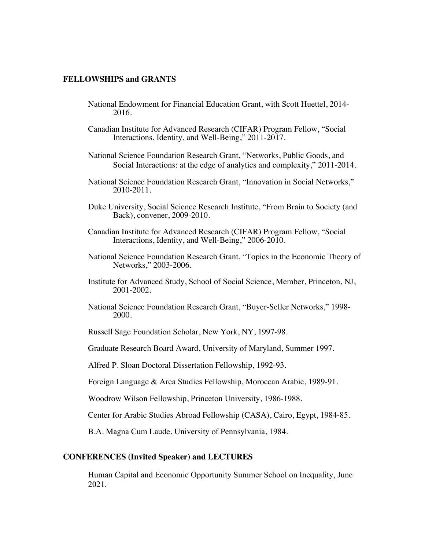#### **FELLOWSHIPS and GRANTS**

- National Endowment for Financial Education Grant, with Scott Huettel, 2014- 2016.
- Canadian Institute for Advanced Research (CIFAR) Program Fellow, "Social Interactions, Identity, and Well-Being," 2011-2017.
- National Science Foundation Research Grant, "Networks, Public Goods, and Social Interactions: at the edge of analytics and complexity," 2011-2014.
- National Science Foundation Research Grant, "Innovation in Social Networks," 2010-2011.
- Duke University, Social Science Research Institute, "From Brain to Society (and Back), convener, 2009-2010.
- Canadian Institute for Advanced Research (CIFAR) Program Fellow, "Social Interactions, Identity, and Well-Being," 2006-2010.
- National Science Foundation Research Grant, "Topics in the Economic Theory of Networks," 2003-2006.
- Institute for Advanced Study, School of Social Science, Member, Princeton, NJ, 2001-2002.
- National Science Foundation Research Grant, "Buyer-Seller Networks," 1998- 2000.

Russell Sage Foundation Scholar, New York, NY, 1997-98.

Graduate Research Board Award, University of Maryland, Summer 1997.

Alfred P. Sloan Doctoral Dissertation Fellowship, 1992-93.

Foreign Language & Area Studies Fellowship, Moroccan Arabic, 1989-91.

Woodrow Wilson Fellowship, Princeton University, 1986-1988.

Center for Arabic Studies Abroad Fellowship (CASA), Cairo, Egypt, 1984-85.

B.A. Magna Cum Laude, University of Pennsylvania, 1984.

#### **CONFERENCES (Invited Speaker) and LECTURES**

Human Capital and Economic Opportunity Summer School on Inequality, June 2021.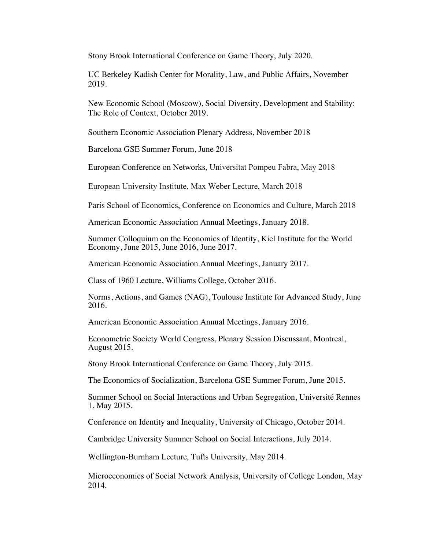Stony Brook International Conference on Game Theory, July 2020.

UC Berkeley Kadish Center for Morality, Law, and Public Affairs, November 2019.

New Economic School (Moscow), Social Diversity, Development and Stability: The Role of Context, October 2019.

Southern Economic Association Plenary Address, November 2018

Barcelona GSE Summer Forum, June 2018

European Conference on Networks, Universitat Pompeu Fabra, May 2018

European University Institute, Max Weber Lecture, March 2018

Paris School of Economics, Conference on Economics and Culture, March 2018

American Economic Association Annual Meetings, January 2018.

Summer Colloquium on the Economics of Identity, Kiel Institute for the World Economy, June 2015, June 2016, June 2017.

American Economic Association Annual Meetings, January 2017.

Class of 1960 Lecture, Williams College, October 2016.

Norms, Actions, and Games (NAG), Toulouse Institute for Advanced Study, June 2016.

American Economic Association Annual Meetings, January 2016.

Econometric Society World Congress, Plenary Session Discussant, Montreal, August 2015.

Stony Brook International Conference on Game Theory, July 2015.

The Economics of Socialization, Barcelona GSE Summer Forum, June 2015.

Summer School on Social Interactions and Urban Segregation, Université Rennes 1, May 2015.

Conference on Identity and Inequality, University of Chicago, October 2014.

Cambridge University Summer School on Social Interactions, July 2014.

Wellington-Burnham Lecture, Tufts University, May 2014.

Microeconomics of Social Network Analysis, University of College London, May 2014.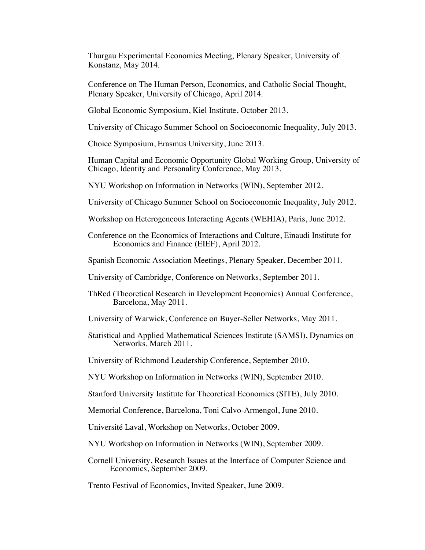Thurgau Experimental Economics Meeting, Plenary Speaker, University of Konstanz, May 2014.

Conference on The Human Person, Economics, and Catholic Social Thought, Plenary Speaker, University of Chicago, April 2014.

Global Economic Symposium, Kiel Institute, October 2013.

University of Chicago Summer School on Socioeconomic Inequality, July 2013.

Choice Symposium, Erasmus University, June 2013.

Human Capital and Economic Opportunity Global Working Group, University of Chicago, Identity and Personality Conference, May 2013.

NYU Workshop on Information in Networks (WIN), September 2012.

University of Chicago Summer School on Socioeconomic Inequality, July 2012.

Workshop on Heterogeneous Interacting Agents (WEHIA), Paris, June 2012.

Conference on the Economics of Interactions and Culture, Einaudi Institute for Economics and Finance (EIEF), April 2012.

Spanish Economic Association Meetings, Plenary Speaker, December 2011.

University of Cambridge, Conference on Networks, September 2011.

- ThRed (Theoretical Research in Development Economics) Annual Conference, Barcelona, May 2011.
- University of Warwick, Conference on Buyer-Seller Networks, May 2011.
- Statistical and Applied Mathematical Sciences Institute (SAMSI), Dynamics on Networks, March 2011.

University of Richmond Leadership Conference, September 2010.

NYU Workshop on Information in Networks (WIN), September 2010.

Stanford University Institute for Theoretical Economics (SITE), July 2010.

Memorial Conference, Barcelona, Toni Calvo-Armengol, June 2010.

Université Laval, Workshop on Networks, October 2009.

NYU Workshop on Information in Networks (WIN), September 2009.

Cornell University, Research Issues at the Interface of Computer Science and Economics, September 2009.

Trento Festival of Economics, Invited Speaker, June 2009.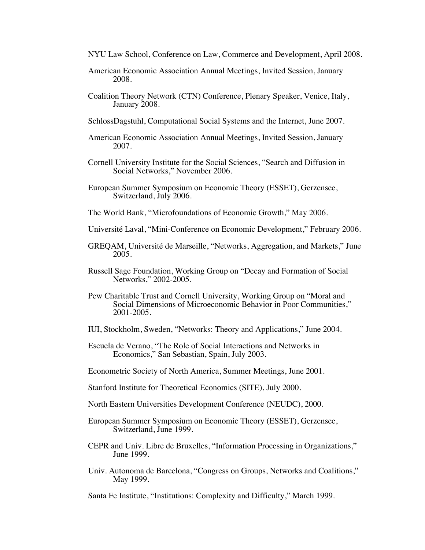- NYU Law School, Conference on Law, Commerce and Development, April 2008.
- American Economic Association Annual Meetings, Invited Session, January 2008.
- Coalition Theory Network (CTN) Conference, Plenary Speaker, Venice, Italy, January 2008.
- SchlossDagstuhl, Computational Social Systems and the Internet, June 2007.
- American Economic Association Annual Meetings, Invited Session, January 2007.
- Cornell University Institute for the Social Sciences, "Search and Diffusion in Social Networks," November 2006.
- European Summer Symposium on Economic Theory (ESSET), Gerzensee, Switzerland, July 2006.
- The World Bank, "Microfoundations of Economic Growth," May 2006.
- Université Laval, "Mini-Conference on Economic Development," February 2006.
- GREQAM, Université de Marseille, "Networks, Aggregation, and Markets," June 2005.
- Russell Sage Foundation, Working Group on "Decay and Formation of Social Networks," 2002-2005.
- Pew Charitable Trust and Cornell University, Working Group on "Moral and Social Dimensions of Microeconomic Behavior in Poor Communities," 2001-2005.
- IUI, Stockholm, Sweden, "Networks: Theory and Applications," June 2004.
- Escuela de Verano, "The Role of Social Interactions and Networks in Economics," San Sebastian, Spain, July 2003.
- Econometric Society of North America, Summer Meetings, June 2001.
- Stanford Institute for Theoretical Economics (SITE), July 2000.
- North Eastern Universities Development Conference (NEUDC), 2000.
- European Summer Symposium on Economic Theory (ESSET), Gerzensee, Switzerland, June 1999.
- CEPR and Univ. Libre de Bruxelles, "Information Processing in Organizations," June 1999.
- Univ. Autonoma de Barcelona, "Congress on Groups, Networks and Coalitions," May 1999.

Santa Fe Institute, "Institutions: Complexity and Difficulty," March 1999.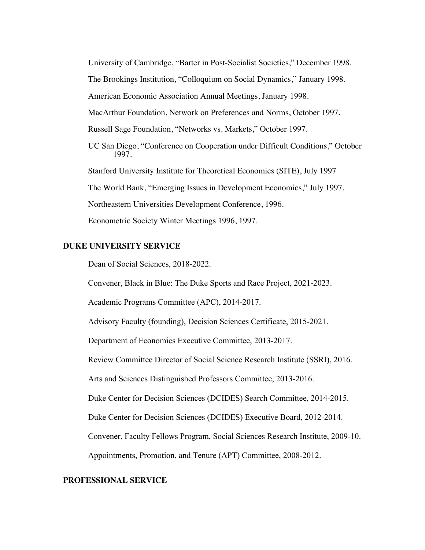University of Cambridge, "Barter in Post-Socialist Societies," December 1998.

The Brookings Institution, "Colloquium on Social Dynamics," January 1998.

American Economic Association Annual Meetings, January 1998.

MacArthur Foundation, Network on Preferences and Norms, October 1997.

Russell Sage Foundation, "Networks vs. Markets," October 1997.

UC San Diego, "Conference on Cooperation under Difficult Conditions," October 1997.

Stanford University Institute for Theoretical Economics (SITE), July 1997

The World Bank, "Emerging Issues in Development Economics," July 1997.

Northeastern Universities Development Conference, 1996.

Econometric Society Winter Meetings 1996, 1997.

#### **DUKE UNIVERSITY SERVICE**

Dean of Social Sciences, 2018-2022.

Convener, Black in Blue: The Duke Sports and Race Project, 2021-2023.

Academic Programs Committee (APC), 2014-2017.

Advisory Faculty (founding), Decision Sciences Certificate, 2015-2021.

Department of Economics Executive Committee, 2013-2017.

Review Committee Director of Social Science Research Institute (SSRI), 2016.

Arts and Sciences Distinguished Professors Committee, 2013-2016.

Duke Center for Decision Sciences (DCIDES) Search Committee, 2014-2015.

Duke Center for Decision Sciences (DCIDES) Executive Board, 2012-2014.

Convener, Faculty Fellows Program, Social Sciences Research Institute, 2009-10.

Appointments, Promotion, and Tenure (APT) Committee, 2008-2012.

### **PROFESSIONAL SERVICE**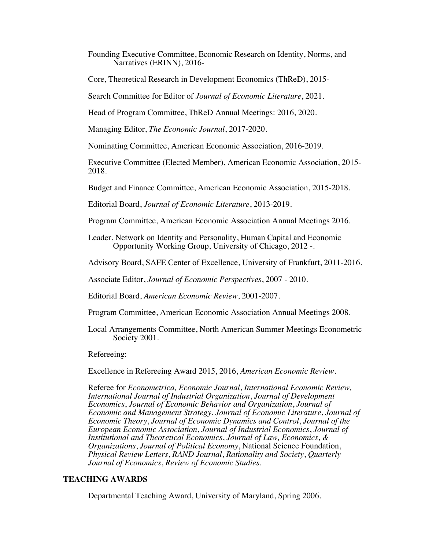Founding Executive Committee, Economic Research on Identity, Norms, and Narratives (ERINN), 2016-

Core, Theoretical Research in Development Economics (ThReD), 2015-

Search Committee for Editor of *Journal of Economic Literature*, 2021.

Head of Program Committee, ThReD Annual Meetings: 2016, 2020.

Managing Editor, *The Economic Journal*, 2017-2020.

Nominating Committee, American Economic Association, 2016-2019.

Executive Committee (Elected Member), American Economic Association, 2015- 2018.

Budget and Finance Committee, American Economic Association, 2015-2018.

Editorial Board, *Journal of Economic Literature*, 2013-2019.

Program Committee, American Economic Association Annual Meetings 2016.

Leader, Network on Identity and Personality, Human Capital and Economic Opportunity Working Group, University of Chicago, 2012 -.

Advisory Board, SAFE Center of Excellence, University of Frankfurt, 2011-2016.

Associate Editor, *Journal of Economic Perspectives*, 2007 - 2010.

Editorial Board, *American Economic Review*, 2001-2007.

Program Committee, American Economic Association Annual Meetings 2008.

Local Arrangements Committee, North American Summer Meetings Econometric Society 2001.

Refereeing:

Excellence in Refereeing Award 2015, 2016, *American Economic Review.*

Referee for *Econometrica, Economic Journal*, *International Economic Review, International Journal of Industrial Organization*, *Journal of Development Economics*, *Journal of Economic Behavior and Organization*, *Journal of Economic and Management Strategy*, *Journal of Economic Literature*, *Journal of Economic Theory*, *Journal of Economic Dynamics and Control*, *Journal of the European Economic Association*, *Journal of Industrial Economics*, *Journal of Institutional and Theoretical Economics*, *Journal of Law, Economics, & Organizations*, *Journal of Political Economy*, National Science Foundation, *Physical Review Letters*, *RAND Journal*, *Rationality and Society*, *Quarterly Journal of Economics*, *Review of Economic Studies*.

## **TEACHING AWARDS**

Departmental Teaching Award, University of Maryland, Spring 2006.